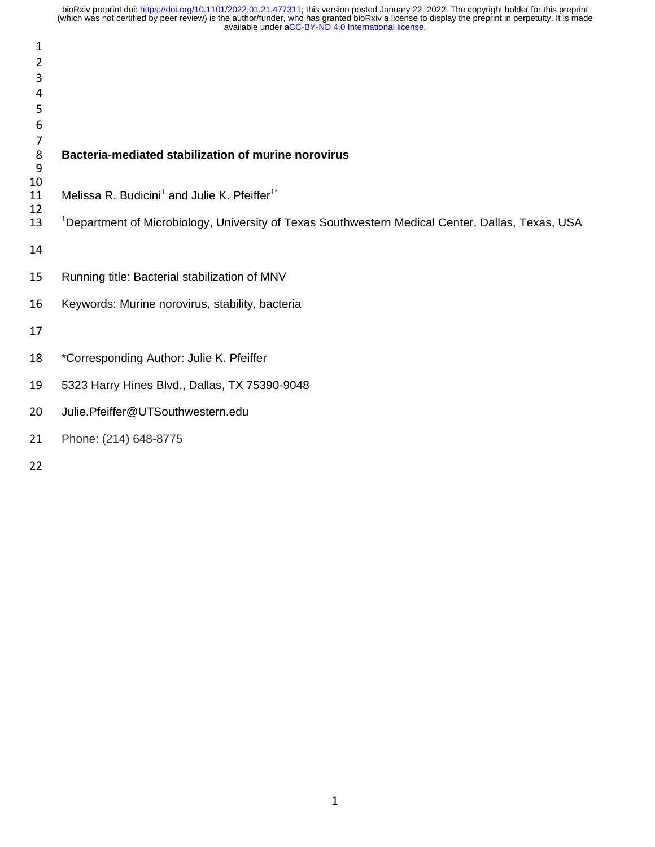| $\overline{2}$    |                                                                                                              |
|-------------------|--------------------------------------------------------------------------------------------------------------|
| 3                 |                                                                                                              |
| 4                 |                                                                                                              |
| 5                 |                                                                                                              |
| 6                 |                                                                                                              |
| 7<br>$\,8\,$<br>9 | Bacteria-mediated stabilization of murine norovirus                                                          |
| 10<br>11<br>12    | Melissa R. Budicini <sup>1</sup> and Julie K. Pfeiffer <sup>1*</sup>                                         |
| 13                | <sup>1</sup> Department of Microbiology, University of Texas Southwestern Medical Center, Dallas, Texas, USA |
| 14                |                                                                                                              |
| 15                | Running title: Bacterial stabilization of MNV                                                                |
| 16                | Keywords: Murine norovirus, stability, bacteria                                                              |
| 17                |                                                                                                              |
| 18                | *Corresponding Author: Julie K. Pfeiffer                                                                     |
| 19                | 5323 Harry Hines Blvd., Dallas, TX 75390-9048                                                                |
| 20                | Julie.Pfeiffer@UTSouthwestern.edu                                                                            |
| 21                | Phone: (214) 648-8775                                                                                        |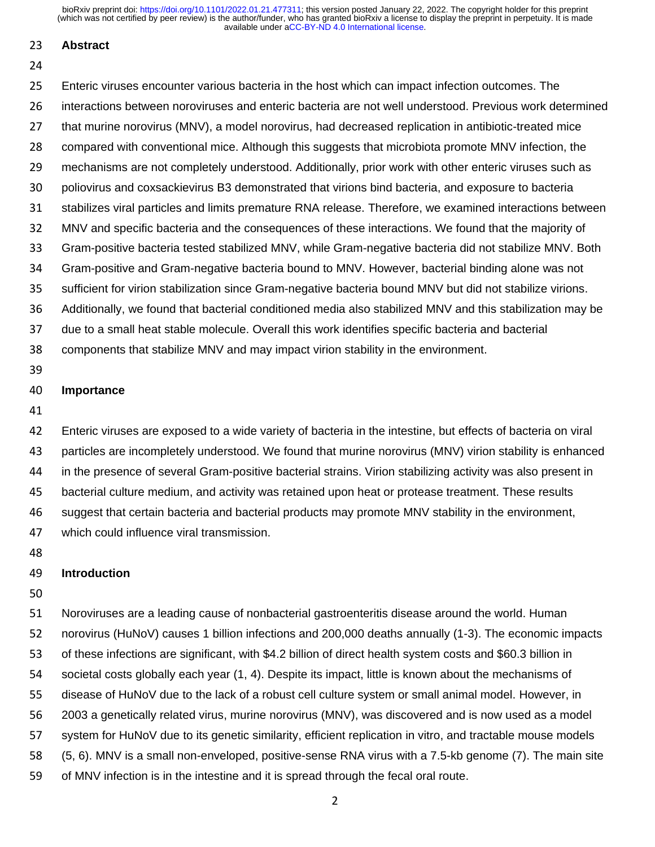#### **Abstract**

#### 

 Enteric viruses encounter various bacteria in the host which can impact infection outcomes. The interactions between noroviruses and enteric bacteria are not well understood. Previous work determined that murine norovirus (MNV), a model norovirus, had decreased replication in antibiotic-treated mice compared with conventional mice. Although this suggests that microbiota promote MNV infection, the mechanisms are not completely understood. Additionally, prior work with other enteric viruses such as poliovirus and coxsackievirus B3 demonstrated that virions bind bacteria, and exposure to bacteria stabilizes viral particles and limits premature RNA release. Therefore, we examined interactions between MNV and specific bacteria and the consequences of these interactions. We found that the majority of Gram-positive bacteria tested stabilized MNV, while Gram-negative bacteria did not stabilize MNV. Both Gram-positive and Gram-negative bacteria bound to MNV. However, bacterial binding alone was not sufficient for virion stabilization since Gram-negative bacteria bound MNV but did not stabilize virions. Additionally, we found that bacterial conditioned media also stabilized MNV and this stabilization may be due to a small heat stable molecule. Overall this work identifies specific bacteria and bacterial components that stabilize MNV and may impact virion stability in the environment.

#### **Importance**

 Enteric viruses are exposed to a wide variety of bacteria in the intestine, but effects of bacteria on viral particles are incompletely understood. We found that murine norovirus (MNV) virion stability is enhanced in the presence of several Gram-positive bacterial strains. Virion stabilizing activity was also present in bacterial culture medium, and activity was retained upon heat or protease treatment. These results suggest that certain bacteria and bacterial products may promote MNV stability in the environment, which could influence viral transmission.

#### **Introduction**

 Noroviruses are a leading cause of nonbacterial gastroenteritis disease around the world. Human norovirus (HuNoV) causes 1 billion infections and 200,000 deaths annually (1-3). The economic impacts of these infections are significant, with \$4.2 billion of direct health system costs and \$60.3 billion in societal costs globally each year (1, 4). Despite its impact, little is known about the mechanisms of disease of HuNoV due to the lack of a robust cell culture system or small animal model. However, in 2003 a genetically related virus, murine norovirus (MNV), was discovered and is now used as a model system for HuNoV due to its genetic similarity, efficient replication in vitro, and tractable mouse models (5, 6). MNV is a small non-enveloped, positive-sense RNA virus with a 7.5-kb genome (7). The main site of MNV infection is in the intestine and it is spread through the fecal oral route.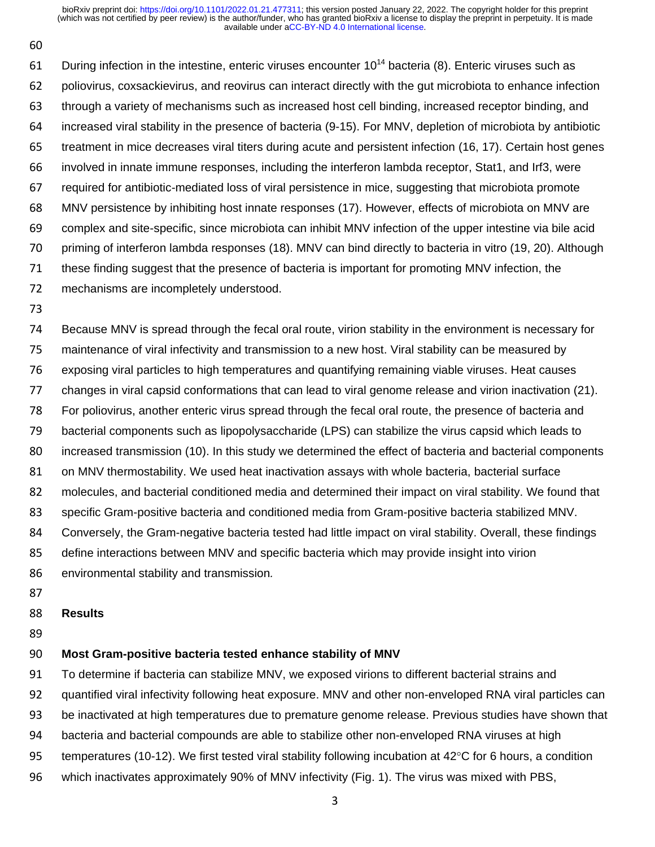61 During infection in the intestine, enteric viruses encounter  $10^{14}$  bacteria (8). Enteric viruses such as poliovirus, coxsackievirus, and reovirus can interact directly with the gut microbiota to enhance infection through a variety of mechanisms such as increased host cell binding, increased receptor binding, and increased viral stability in the presence of bacteria (9-15). For MNV, depletion of microbiota by antibiotic treatment in mice decreases viral titers during acute and persistent infection (16, 17). Certain host genes involved in innate immune responses, including the interferon lambda receptor, Stat1, and Irf3, were required for antibiotic-mediated loss of viral persistence in mice, suggesting that microbiota promote MNV persistence by inhibiting host innate responses (17). However, effects of microbiota on MNV are complex and site-specific, since microbiota can inhibit MNV infection of the upper intestine via bile acid priming of interferon lambda responses (18). MNV can bind directly to bacteria in vitro (19, 20). Although these finding suggest that the presence of bacteria is important for promoting MNV infection, the

- mechanisms are incompletely understood.
- 

 Because MNV is spread through the fecal oral route, virion stability in the environment is necessary for maintenance of viral infectivity and transmission to a new host. Viral stability can be measured by exposing viral particles to high temperatures and quantifying remaining viable viruses. Heat causes changes in viral capsid conformations that can lead to viral genome release and virion inactivation (21). For poliovirus, another enteric virus spread through the fecal oral route, the presence of bacteria and bacterial components such as lipopolysaccharide (LPS) can stabilize the virus capsid which leads to increased transmission (10). In this study we determined the effect of bacteria and bacterial components on MNV thermostability. We used heat inactivation assays with whole bacteria, bacterial surface molecules, and bacterial conditioned media and determined their impact on viral stability. We found that specific Gram-positive bacteria and conditioned media from Gram-positive bacteria stabilized MNV. 84 Conversely, the Gram-negative bacteria tested had little impact on viral stability. Overall, these findings define interactions between MNV and specific bacteria which may provide insight into virion environmental stability and transmission*.*

### **Results**

### **Most Gram-positive bacteria tested enhance stability of MNV**

To determine if bacteria can stabilize MNV, we exposed virions to different bacterial strains and

quantified viral infectivity following heat exposure. MNV and other non-enveloped RNA viral particles can

be inactivated at high temperatures due to premature genome release. Previous studies have shown that

bacteria and bacterial compounds are able to stabilize other non-enveloped RNA viruses at high

- 95 temperatures (10-12). We first tested viral stability following incubation at 42 $\degree$ C for 6 hours, a condition
- which inactivates approximately 90% of MNV infectivity (Fig. 1). The virus was mixed with PBS,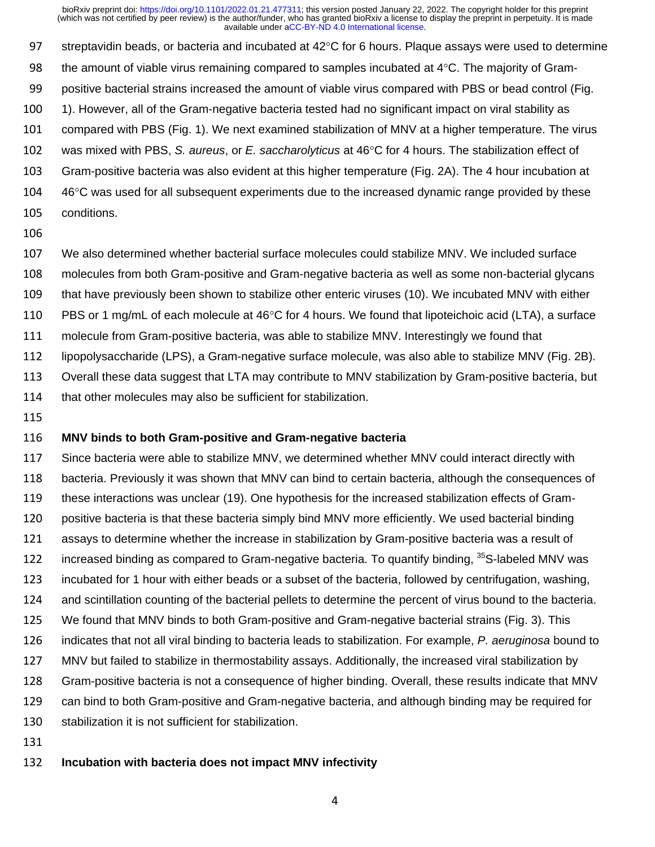97 streptavidin beads, or bacteria and incubated at  $42^{\circ}$ C for 6 hours. Plaque assays were used to determine 98 the amount of viable virus remaining compared to samples incubated at  $4^{\circ}$ C. The majority of Gram- positive bacterial strains increased the amount of viable virus compared with PBS or bead control (Fig. 1). However, all of the Gram-negative bacteria tested had no significant impact on viral stability as compared with PBS (Fig. 1). We next examined stabilization of MNV at a higher temperature. The virus 102 was mixed with PBS, *S. aureus*, or *E. saccharolyticus* at 46°C for 4 hours. The stabilization effect of Gram-positive bacteria was also evident at this higher temperature (Fig. 2A). The 4 hour incubation at 46°C was used for all subsequent experiments due to the increased dynamic range provided by these conditions.

#### 

 We also determined whether bacterial surface molecules could stabilize MNV. We included surface molecules from both Gram-positive and Gram-negative bacteria as well as some non-bacterial glycans that have previously been shown to stabilize other enteric viruses (10). We incubated MNV with either 110 PBS or 1 mg/mL of each molecule at  $46^{\circ}$ C for 4 hours. We found that lipoteichoic acid (LTA), a surface molecule from Gram-positive bacteria, was able to stabilize MNV. Interestingly we found that lipopolysaccharide (LPS), a Gram-negative surface molecule, was also able to stabilize MNV (Fig. 2B). Overall these data suggest that LTA may contribute to MNV stabilization by Gram-positive bacteria, but 114 that other molecules may also be sufficient for stabilization.

#### **MNV binds to both Gram-positive and Gram-negative bacteria**

 Since bacteria were able to stabilize MNV, we determined whether MNV could interact directly with bacteria. Previously it was shown that MNV can bind to certain bacteria, although the consequences of these interactions was unclear (19). One hypothesis for the increased stabilization effects of Gram-120 positive bacteria is that these bacteria simply bind MNV more efficiently. We used bacterial binding assays to determine whether the increase in stabilization by Gram-positive bacteria was a result of 122 increased binding as compared to Gram-negative bacteria. To quantify binding,  ${}^{35}$ S-labeled MNV was incubated for 1 hour with either beads or a subset of the bacteria, followed by centrifugation, washing, and scintillation counting of the bacterial pellets to determine the percent of virus bound to the bacteria. We found that MNV binds to both Gram-positive and Gram-negative bacterial strains (Fig. 3). This indicates that not all viral binding to bacteria leads to stabilization. For example, *P. aeruginosa* bound to MNV but failed to stabilize in thermostability assays. Additionally, the increased viral stabilization by Gram-positive bacteria is not a consequence of higher binding. Overall, these results indicate that MNV can bind to both Gram-positive and Gram-negative bacteria, and although binding may be required for stabilization it is not sufficient for stabilization.

#### **Incubation with bacteria does not impact MNV infectivity**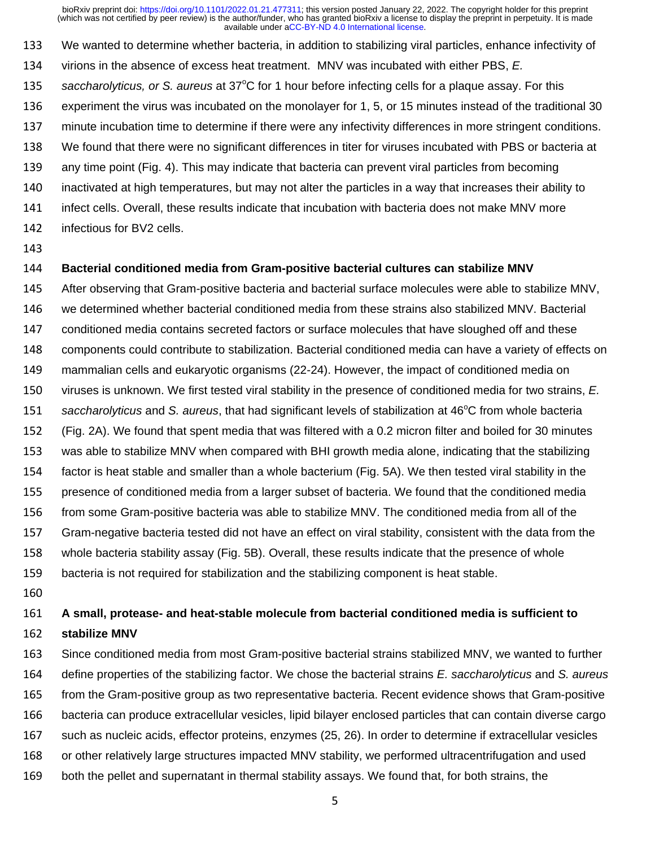We wanted to determine whether bacteria, in addition to stabilizing viral particles, enhance infectivity of virions in the absence of excess heat treatment. MNV was incubated with either PBS, *E.* 

- 135 saccharolyticus, or S. aureus at 37°C for 1 hour before infecting cells for a plaque assay. For this
- experiment the virus was incubated on the monolayer for 1, 5, or 15 minutes instead of the traditional 30
- minute incubation time to determine if there were any infectivity differences in more stringent conditions.
- We found that there were no significant differences in titer for viruses incubated with PBS or bacteria at
- any time point (Fig. 4). This may indicate that bacteria can prevent viral particles from becoming
- inactivated at high temperatures, but may not alter the particles in a way that increases their ability to
- infect cells. Overall, these results indicate that incubation with bacteria does not make MNV more
- infectious for BV2 cells.
- 

### **Bacterial conditioned media from Gram-positive bacterial cultures can stabilize MNV**

After observing that Gram-positive bacteria and bacterial surface molecules were able to stabilize MNV,

- we determined whether bacterial conditioned media from these strains also stabilized MNV. Bacterial
- conditioned media contains secreted factors or surface molecules that have sloughed off and these
- components could contribute to stabilization. Bacterial conditioned media can have a variety of effects on
- mammalian cells and eukaryotic organisms (22-24). However, the impact of conditioned media on
- viruses is unknown. We first tested viral stability in the presence of conditioned media for two strains, *E.*
- 151 saccharolyticus and S. aureus, that had significant levels of stabilization at 46°C from whole bacteria
- (Fig. 2A). We found that spent media that was filtered with a 0.2 micron filter and boiled for 30 minutes
- was able to stabilize MNV when compared with BHI growth media alone, indicating that the stabilizing
- factor is heat stable and smaller than a whole bacterium (Fig. 5A). We then tested viral stability in the
- 
- presence of conditioned media from a larger subset of bacteria. We found that the conditioned media
- from some Gram-positive bacteria was able to stabilize MNV. The conditioned media from all of the
- Gram-negative bacteria tested did not have an effect on viral stability, consistent with the data from the
- whole bacteria stability assay (Fig. 5B). Overall, these results indicate that the presence of whole
- bacteria is not required for stabilization and the stabilizing component is heat stable.
- 

### **A small, protease- and heat-stable molecule from bacterial conditioned media is sufficient to**

#### **stabilize MNV**

 Since conditioned media from most Gram-positive bacterial strains stabilized MNV, we wanted to further define properties of the stabilizing factor. We chose the bacterial strains *E. saccharolyticus* and *S. aureus* from the Gram-positive group as two representative bacteria. Recent evidence shows that Gram-positive bacteria can produce extracellular vesicles, lipid bilayer enclosed particles that can contain diverse cargo such as nucleic acids, effector proteins, enzymes (25, 26). In order to determine if extracellular vesicles or other relatively large structures impacted MNV stability, we performed ultracentrifugation and used both the pellet and supernatant in thermal stability assays. We found that, for both strains, the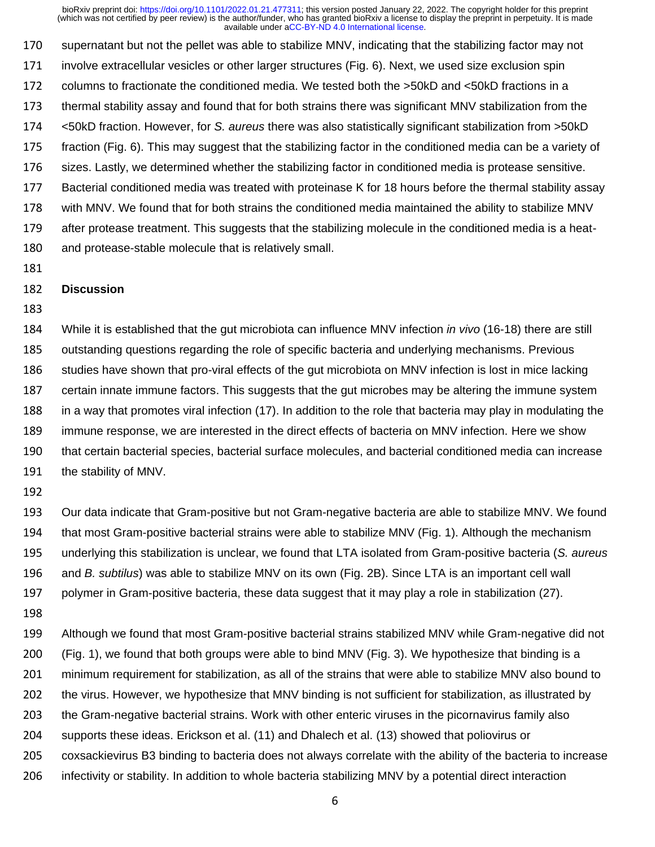supernatant but not the pellet was able to stabilize MNV, indicating that the stabilizing factor may not involve extracellular vesicles or other larger structures (Fig. 6). Next, we used size exclusion spin columns to fractionate the conditioned media. We tested both the >50kD and <50kD fractions in a thermal stability assay and found that for both strains there was significant MNV stabilization from the <50kD fraction. However, for *S. aureus* there was also statistically significant stabilization from >50kD fraction (Fig. 6). This may suggest that the stabilizing factor in the conditioned media can be a variety of sizes. Lastly, we determined whether the stabilizing factor in conditioned media is protease sensitive. Bacterial conditioned media was treated with proteinase K for 18 hours before the thermal stability assay with MNV. We found that for both strains the conditioned media maintained the ability to stabilize MNV after protease treatment. This suggests that the stabilizing molecule in the conditioned media is a heat-and protease-stable molecule that is relatively small.

### **Discussion**

 While it is established that the gut microbiota can influence MNV infection *in vivo* (16-18) there are still outstanding questions regarding the role of specific bacteria and underlying mechanisms. Previous studies have shown that pro-viral effects of the gut microbiota on MNV infection is lost in mice lacking certain innate immune factors. This suggests that the gut microbes may be altering the immune system in a way that promotes viral infection (17). In addition to the role that bacteria may play in modulating the immune response, we are interested in the direct effects of bacteria on MNV infection. Here we show that certain bacterial species, bacterial surface molecules, and bacterial conditioned media can increase the stability of MNV.

 Our data indicate that Gram-positive but not Gram-negative bacteria are able to stabilize MNV. We found that most Gram-positive bacterial strains were able to stabilize MNV (Fig. 1). Although the mechanism underlying this stabilization is unclear, we found that LTA isolated from Gram-positive bacteria (*S. aureus* and *B. subtilus*) was able to stabilize MNV on its own (Fig. 2B). Since LTA is an important cell wall polymer in Gram-positive bacteria, these data suggest that it may play a role in stabilization (27).

 Although we found that most Gram-positive bacterial strains stabilized MNV while Gram-negative did not (Fig. 1), we found that both groups were able to bind MNV (Fig. 3). We hypothesize that binding is a minimum requirement for stabilization, as all of the strains that were able to stabilize MNV also bound to the virus. However, we hypothesize that MNV binding is not sufficient for stabilization, as illustrated by the Gram-negative bacterial strains. Work with other enteric viruses in the picornavirus family also supports these ideas. Erickson et al. (11) and Dhalech et al. (13) showed that poliovirus or coxsackievirus B3 binding to bacteria does not always correlate with the ability of the bacteria to increase infectivity or stability. In addition to whole bacteria stabilizing MNV by a potential direct interaction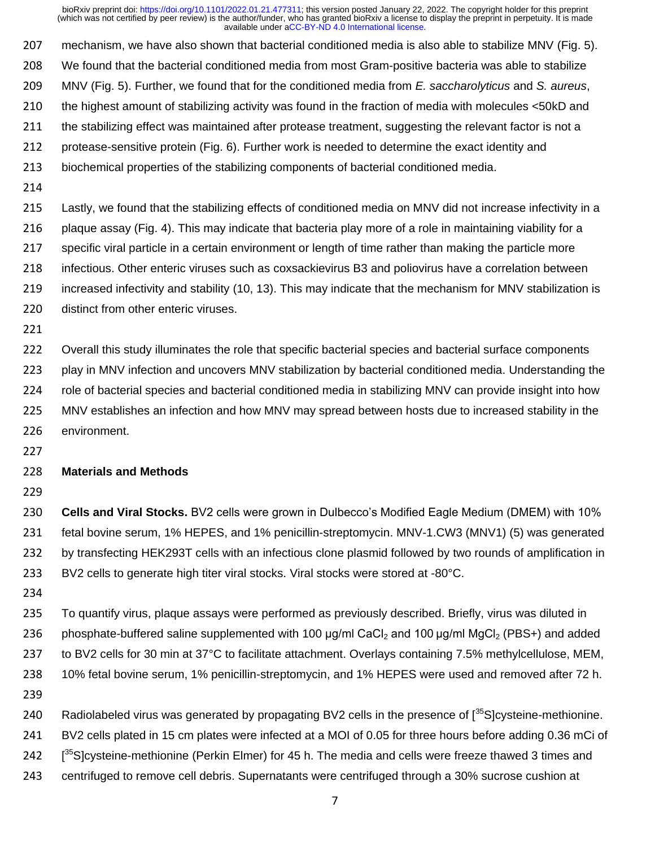mechanism, we have also shown that bacterial conditioned media is also able to stabilize MNV (Fig. 5). We found that the bacterial conditioned media from most Gram-positive bacteria was able to stabilize MNV (Fig. 5). Further, we found that for the conditioned media from *E. saccharolyticus* and *S. aureus*, the highest amount of stabilizing activity was found in the fraction of media with molecules <50kD and 211 the stabilizing effect was maintained after protease treatment, suggesting the relevant factor is not a protease-sensitive protein (Fig. 6). Further work is needed to determine the exact identity and

- biochemical properties of the stabilizing components of bacterial conditioned media.
- 

 Lastly, we found that the stabilizing effects of conditioned media on MNV did not increase infectivity in a plaque assay (Fig. 4). This may indicate that bacteria play more of a role in maintaining viability for a specific viral particle in a certain environment or length of time rather than making the particle more infectious. Other enteric viruses such as coxsackievirus B3 and poliovirus have a correlation between increased infectivity and stability (10, 13). This may indicate that the mechanism for MNV stabilization is distinct from other enteric viruses.

 Overall this study illuminates the role that specific bacterial species and bacterial surface components 223 play in MNV infection and uncovers MNV stabilization by bacterial conditioned media. Understanding the role of bacterial species and bacterial conditioned media in stabilizing MNV can provide insight into how MNV establishes an infection and how MNV may spread between hosts due to increased stability in the environment.

#### **Materials and Methods**

 **Cells and Viral Stocks.** BV2 cells were grown in Dulbecco's Modified Eagle Medium (DMEM) with 10% fetal bovine serum, 1% HEPES, and 1% penicillin-streptomycin. MNV-1.CW3 (MNV1) (5) was generated by transfecting HEK293T cells with an infectious clone plasmid followed by two rounds of amplification in BV2 cells to generate high titer viral stocks. Viral stocks were stored at -80°C.

 To quantify virus, plaque assays were performed as previously described. Briefly, virus was diluted in 236 phosphate-buffered saline supplemented with 100  $\mu$ g/ml CaCl<sub>2</sub> and 100  $\mu$ g/ml MgCl<sub>2</sub> (PBS+) and added to BV2 cells for 30 min at 37°C to facilitate attachment. Overlays containing 7.5% methylcellulose, MEM, 10% fetal bovine serum, 1% penicillin-streptomycin, and 1% HEPES were used and removed after 72 h.

- 
- 240 Radiolabeled virus was generated by propagating BV2 cells in the presence of [<sup>35</sup>S]cysteine-methionine.
- BV2 cells plated in 15 cm plates were infected at a MOI of 0.05 for three hours before adding 0.36 mCi of
- 242 [<sup>35</sup>S]cysteine-methionine (Perkin Elmer) for 45 h. The media and cells were freeze thawed 3 times and
- centrifuged to remove cell debris. Supernatants were centrifuged through a 30% sucrose cushion at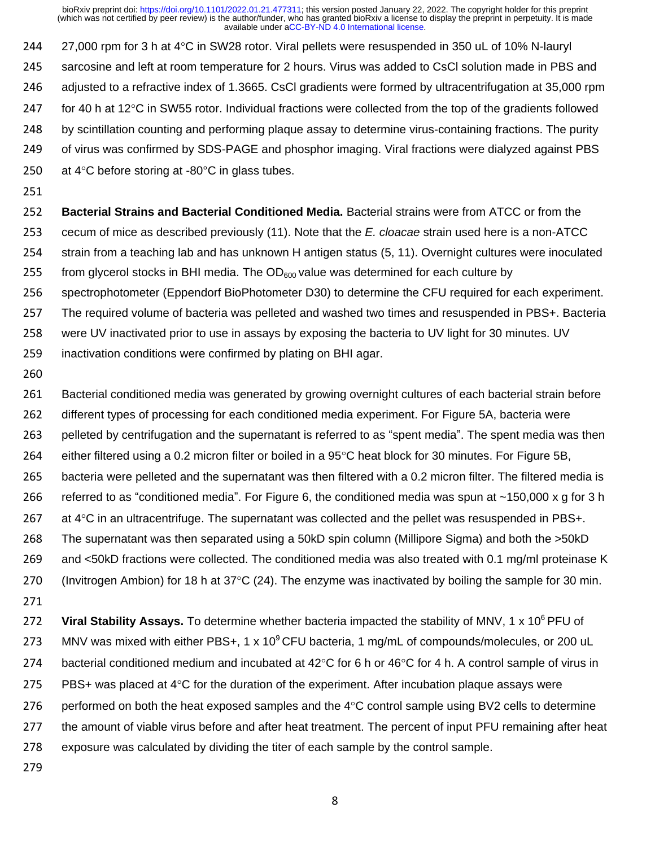244 27,000 rpm for 3 h at 4°C in SW28 rotor. Viral pellets were resuspended in 350 uL of 10% N-lauryl 245 sarcosine and left at room temperature for 2 hours. Virus was added to CsCl solution made in PBS and 246 adjusted to a refractive index of 1.3665. CsCl gradients were formed by ultracentrifugation at 35,000 rpm 247 for 40 h at 12 $\degree$ C in SW55 rotor. Individual fractions were collected from the top of the gradients followed 248 by scintillation counting and performing plaque assay to determine virus-containing fractions. The purity 249 of virus was confirmed by SDS-PAGE and phosphor imaging. Viral fractions were dialyzed against PBS 250 at  $4^{\circ}$ C before storing at -80 $^{\circ}$ C in glass tubes.

251

 **Bacterial Strains and Bacterial Conditioned Media.** Bacterial strains were from ATCC or from the cecum of mice as described previously (11). Note that the *E. cloacae* strain used here is a non-ATCC strain from a teaching lab and has unknown H antigen status (5, 11). Overnight cultures were inoculated 255 from glycerol stocks in BHI media. The  $OD<sub>600</sub>$  value was determined for each culture by spectrophotometer (Eppendorf BioPhotometer D30) to determine the CFU required for each experiment. The required volume of bacteria was pelleted and washed two times and resuspended in PBS+. Bacteria were UV inactivated prior to use in assays by exposing the bacteria to UV light for 30 minutes. UV inactivation conditions were confirmed by plating on BHI agar.

260

261 Bacterial conditioned media was generated by growing overnight cultures of each bacterial strain before 262 different types of processing for each conditioned media experiment. For Figure 5A, bacteria were 263 pelleted by centrifugation and the supernatant is referred to as "spent media". The spent media was then 264 either filtered using a 0.2 micron filter or boiled in a  $95^{\circ}$ C heat block for 30 minutes. For Figure 5B, 265 bacteria were pelleted and the supernatant was then filtered with a 0.2 micron filter. The filtered media is 266 referred to as "conditioned media". For Figure 6, the conditioned media was spun at ~150,000 x g for 3 h 267 at  $4^{\circ}$ C in an ultracentrifuge. The supernatant was collected and the pellet was resuspended in PBS+. 268 The supernatant was then separated using a 50kD spin column (Millipore Sigma) and both the >50kD 269 and <50kD fractions were collected. The conditioned media was also treated with 0.1 mg/ml proteinase K 270 (Invitrogen Ambion) for 18 h at  $37^{\circ}$ C (24). The enzyme was inactivated by boiling the sample for 30 min. 271

272 Viral Stability Assays. To determine whether bacteria impacted the stability of MNV, 1 x 10<sup>6</sup> PFU of 273 MNV was mixed with either PBS+, 1 x 10 $^{\circ}$  CFU bacteria, 1 mg/mL of compounds/molecules, or 200 uL 274 bacterial conditioned medium and incubated at  $42^{\circ}$ C for 6 h or  $46^{\circ}$ C for 4 h. A control sample of virus in 275 PBS+ was placed at  $4^{\circ}$ C for the duration of the experiment. After incubation plaque assays were 276 performed on both the heat exposed samples and the  $4^{\circ}$ C control sample using BV2 cells to determine 277 the amount of viable virus before and after heat treatment. The percent of input PFU remaining after heat 278 exposure was calculated by dividing the titer of each sample by the control sample.

279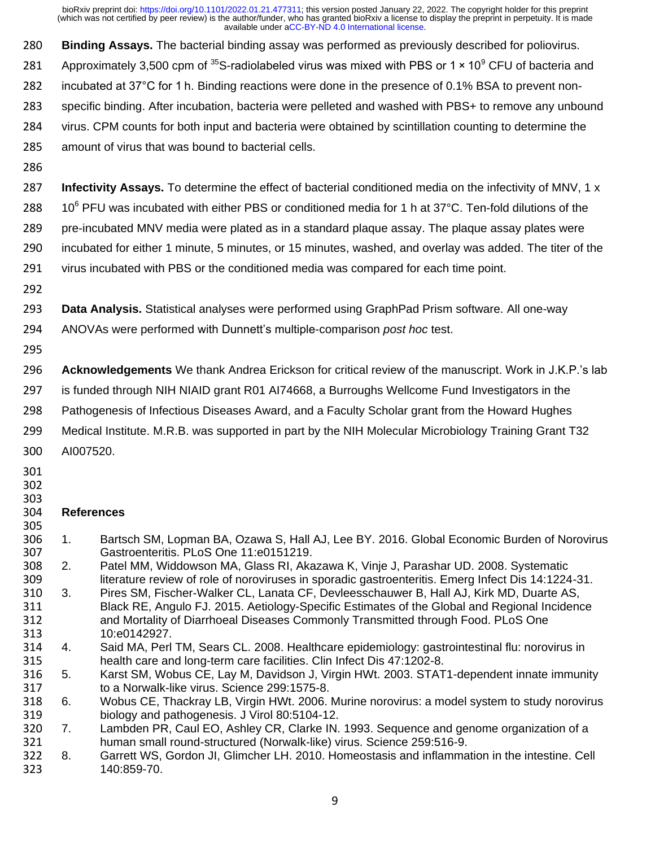**Binding Assays.** The bacterial binding assay was performed as previously described for poliovirus.

- 281 Approximately 3,500 cpm of S-radiolabeled virus was mixed with PBS or 1 × 10<sup>9</sup> CFU of bacteria and
- incubated at 37°C for 1 h. Binding reactions were done in the presence of 0.1% BSA to prevent non-
- specific binding. After incubation, bacteria were pelleted and washed with PBS+ to remove any unbound
- virus. CPM counts for both input and bacteria were obtained by scintillation counting to determine the
- amount of virus that was bound to bacterial cells.
- 

 **Infectivity Assays.** To determine the effect of bacterial conditioned media on the infectivity of MNV, 1 x  $10^6$  PFU was incubated with either PBS or conditioned media for 1 h at 37°C. Ten-fold dilutions of the pre-incubated MNV media were plated as in a standard plaque assay. The plaque assay plates were incubated for either 1 minute, 5 minutes, or 15 minutes, washed, and overlay was added. The titer of the

- virus incubated with PBS or the conditioned media was compared for each time point.
- 
- **Data Analysis.** Statistical analyses were performed using GraphPad Prism software. All one-way
- ANOVAs were performed with Dunnett's multiple-comparison *post hoc* test.
- 

**Acknowledgements** We thank Andrea Erickson for critical review of the manuscript. Work in J.K.P.'s lab

is funded through NIH NIAID grant R01 AI74668, a Burroughs Wellcome Fund Investigators in the

- Pathogenesis of Infectious Diseases Award, and a Faculty Scholar grant from the Howard Hughes
- Medical Institute. M.R.B. was supported in part by the NIH Molecular Microbiology Training Grant T32
- AI007520.
- 
- 

### 

#### **References**

- 1. Bartsch SM, Lopman BA, Ozawa S, Hall AJ, Lee BY. 2016. Global Economic Burden of Norovirus Gastroenteritis. PLoS One 11:e0151219.
- Patel MM, Widdowson MA, Glass RI, Akazawa K, Vinje J, Parashar UD. 2008. Systematic literature review of role of noroviruses in sporadic gastroenteritis. Emerg Infect Dis 14:1224-31.
- 3. Pires SM, Fischer-Walker CL, Lanata CF, Devleesschauwer B, Hall AJ, Kirk MD, Duarte AS, 311 Black RE, Angulo FJ. 2015. Aetiology-Specific Estimates of the Global and Regional Incidence<br>312 and Mortality of Diarrhoeal Diseases Commonly Transmitted through Food. PLoS One and Mortality of Diarrhoeal Diseases Commonly Transmitted through Food. PLoS One
- 313 10:e0142927.<br>314 4. Said MA, Perl Said MA, Perl TM, Sears CL. 2008. Healthcare epidemiology: gastrointestinal flu: norovirus in health care and long-term care facilities. Clin Infect Dis 47:1202-8.
- 5. Karst SM, Wobus CE, Lay M, Davidson J, Virgin HWt. 2003. STAT1-dependent innate immunity to a Norwalk-like virus. Science 299:1575-8.
- 6. Wobus CE, Thackray LB, Virgin HWt. 2006. Murine norovirus: a model system to study norovirus biology and pathogenesis. J Virol 80:5104-12.
- 320 7. Lambden PR, Caul EO, Ashley CR, Clarke IN. 1993. Sequence and genome organization of a<br>321 human small round-structured (Norwalk-like) virus. Science 259:516-9. human small round-structured (Norwalk-like) virus. Science 259:516-9.
- 8. Garrett WS, Gordon JI, Glimcher LH. 2010. Homeostasis and inflammation in the intestine. Cell 140:859-70.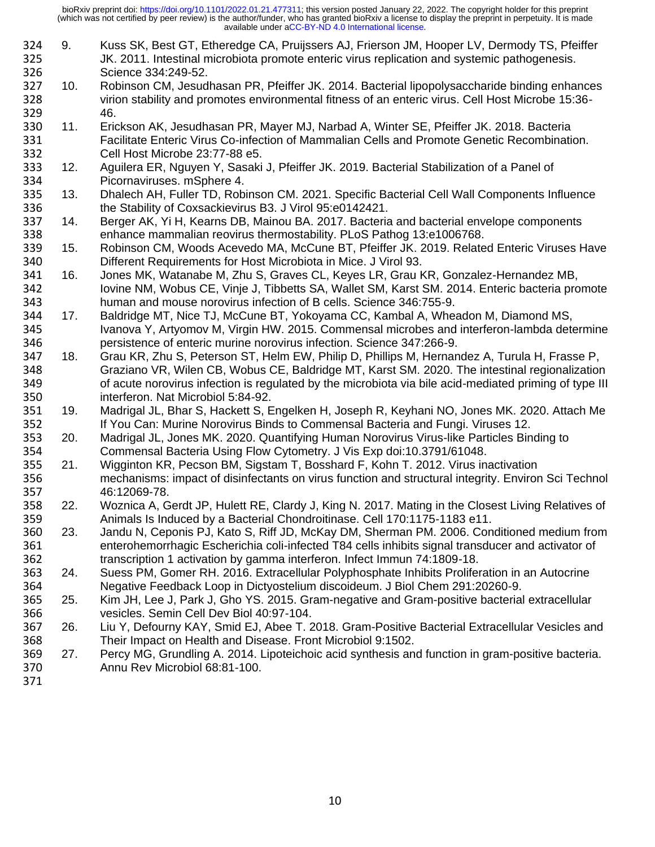- 324 9. Kuss SK, Best GT, Etheredge CA, Pruijssers AJ, Frierson JM, Hooper LV, Dermody TS, Pfeiffer<br>325 JK. 2011. Intestinal microbiota promote enteric virus replication and systemic pathogenesis. 325 JK. 2011. Intestinal microbiota promote enteric virus replication and systemic pathogenesis.<br>326 Science 334:249-52. Science 334:249-52.
- 327 10. Robinson CM, Jesudhasan PR, Pfeiffer JK. 2014. Bacterial lipopolysaccharide binding enhances<br>328 virion stability and promotes environmental fitness of an enteric virus. Cell Host Microbe 15:36- virion stability and promotes environmental fitness of an enteric virus. Cell Host Microbe 15:36- 46.
- 11. Erickson AK, Jesudhasan PR, Mayer MJ, Narbad A, Winter SE, Pfeiffer JK. 2018. Bacteria Facilitate Enteric Virus Co-infection of Mammalian Cells and Promote Genetic Recombination. Cell Host Microbe 23:77-88 e5.
- 12. Aguilera ER, Nguyen Y, Sasaki J, Pfeiffer JK. 2019. Bacterial Stabilization of a Panel of 334 Picornaviruses. mSphere 4.<br>335 13. Dhalech AH, Fuller TD, Robi
- 335 13. Dhalech AH, Fuller TD, Robinson CM. 2021. Specific Bacterial Cell Wall Components Influence<br>336 the Stability of Coxsackievirus B3. J Virol 95:e0142421. the Stability of Coxsackievirus B3. J Virol 95:e0142421.
- 14. Berger AK, Yi H, Kearns DB, Mainou BA. 2017. Bacteria and bacterial envelope components enhance mammalian reovirus thermostability. PLoS Pathog 13:e1006768.
- 15. Robinson CM, Woods Acevedo MA, McCune BT, Pfeiffer JK. 2019. Related Enteric Viruses Have Different Requirements for Host Microbiota in Mice. J Virol 93.
- 341 16. Jones MK, Watanabe M, Zhu S, Graves CL, Keyes LR, Grau KR, Gonzalez-Hernandez MB,<br>342 Iovine NM, Wobus CE, Vinje J, Tibbetts SA, Wallet SM, Karst SM. 2014. Enteric bacteria pro Iovine NM, Wobus CE, Vinje J, Tibbetts SA, Wallet SM, Karst SM. 2014. Enteric bacteria promote 343 human and mouse norovirus infection of B cells. Science 346:755-9.<br>344 17. Baldridge MT. Nice TJ. McCune BT. Yokovama CC. Kambal A. Whea
- 17. Baldridge MT, Nice TJ, McCune BT, Yokoyama CC, Kambal A, Wheadon M, Diamond MS, Ivanova Y, Artyomov M, Virgin HW. 2015. Commensal microbes and interferon-lambda determine persistence of enteric murine norovirus infection. Science 347:266-9.
- 18. Grau KR, Zhu S, Peterson ST, Helm EW, Philip D, Phillips M, Hernandez A, Turula H, Frasse P, 348 Graziano VR, Wilen CB, Wobus CE, Baldridge MT, Karst SM. 2020. The intestinal regionalization<br>349 of acute norovirus infection is regulated by the microbiota via bile acid-mediated priming of type III of acute norovirus infection is regulated by the microbiota via bile acid-mediated priming of type III interferon. Nat Microbiol 5:84-92.
- 19. Madrigal JL, Bhar S, Hackett S, Engelken H, Joseph R, Keyhani NO, Jones MK. 2020. Attach Me If You Can: Murine Norovirus Binds to Commensal Bacteria and Fungi. Viruses 12.
- 20. Madrigal JL, Jones MK. 2020. Quantifying Human Norovirus Virus-like Particles Binding to Commensal Bacteria Using Flow Cytometry. J Vis Exp doi:10.3791/61048.
- Wigginton KR, Pecson BM, Sigstam T, Bosshard F, Kohn T. 2012. Virus inactivation mechanisms: impact of disinfectants on virus function and structural integrity. Environ Sci Technol 46:12069-78.
- 358 22. Woznica A, Gerdt JP, Hulett RE, Clardy J, King N. 2017. Mating in the Closest Living Relatives of 359<br>359 **Animals Is Induced by a Bacterial Chondroitinase**. Cell 170:1175-1183 e11. Animals Is Induced by a Bacterial Chondroitinase. Cell 170:1175-1183 e11.
- 23. Jandu N, Ceponis PJ, Kato S, Riff JD, McKay DM, Sherman PM. 2006. Conditioned medium from enterohemorrhagic Escherichia coli-infected T84 cells inhibits signal transducer and activator of transcription 1 activation by gamma interferon. Infect Immun 74:1809-18.
- 24. Suess PM, Gomer RH. 2016. Extracellular Polyphosphate Inhibits Proliferation in an Autocrine Negative Feedback Loop in Dictyostelium discoideum. J Biol Chem 291:20260-9.
- 25. Kim JH, Lee J, Park J, Gho YS. 2015. Gram-negative and Gram-positive bacterial extracellular vesicles. Semin Cell Dev Biol 40:97-104.
- 26. Liu Y, Defourny KAY, Smid EJ, Abee T. 2018. Gram-Positive Bacterial Extracellular Vesicles and Their Impact on Health and Disease. Front Microbiol 9:1502.
- 27. Percy MG, Grundling A. 2014. Lipoteichoic acid synthesis and function in gram-positive bacteria. Annu Rev Microbiol 68:81-100.
-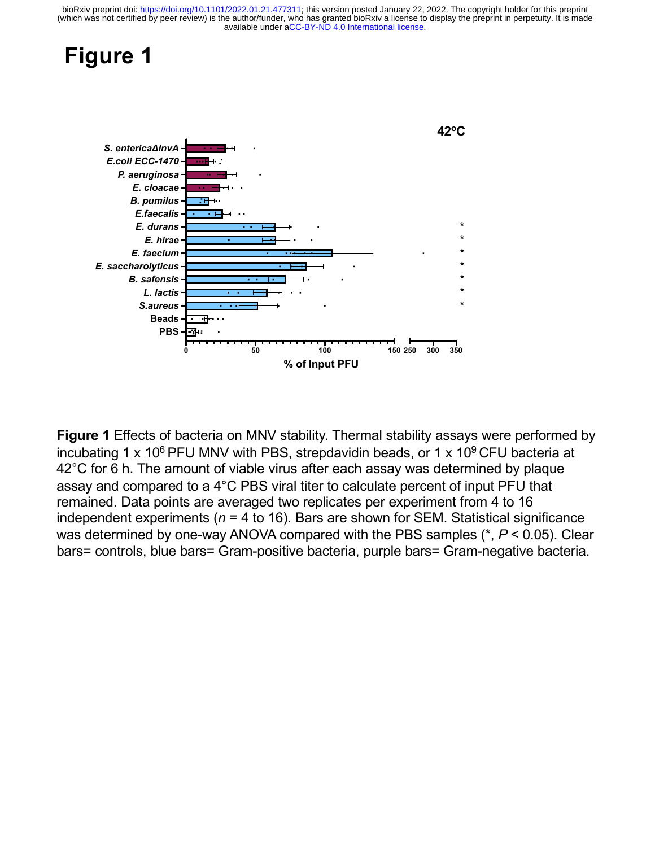## **Figure 1**



**Figure 1** Effects of bacteria on MNV stability. Thermal stability assays were performed by incubating 1 x 10<sup>6</sup> PFU MNV with PBS, strepdavidin beads, or 1 x 10<sup>9</sup> CFU bacteria at 42°C for 6 h. The amount of viable virus after each assay was determined by plaque assay and compared to a 4°C PBS viral titer to calculate percent of input PFU that remained. Data points are averaged two replicates per experiment from 4 to 16 independent experiments (*n* = 4 to 16). Bars are shown for SEM. Statistical significance was determined by one-way ANOVA compared with the PBS samples (\*, *P* < 0.05). Clear bars= controls, blue bars= Gram-positive bacteria, purple bars= Gram-negative bacteria.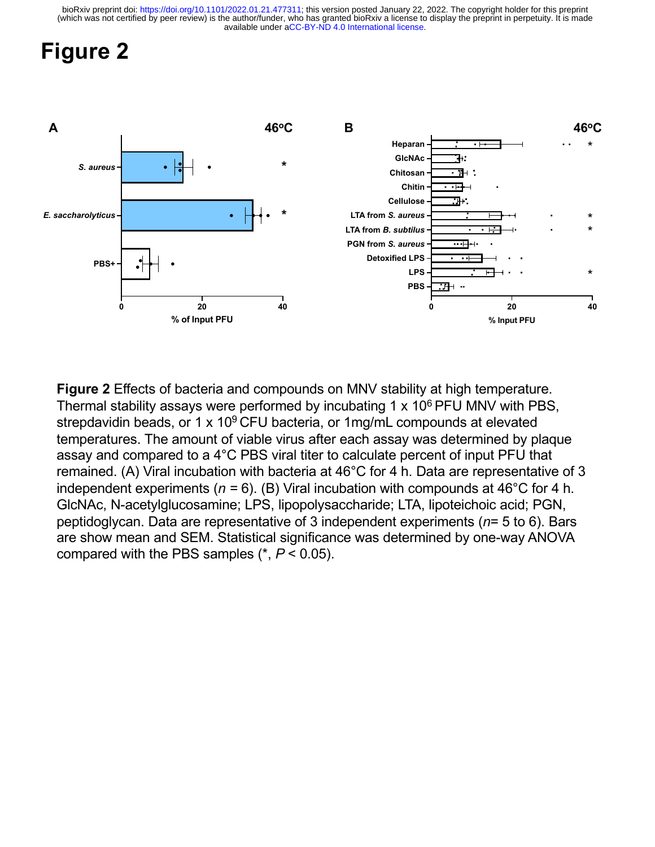# **Figure 2**



**Figure 2** Effects of bacteria and compounds on MNV stability at high temperature. Thermal stability assays were performed by incubating 1  $\times$  10<sup>6</sup> PFU MNV with PBS, strepdavidin beads, or 1 x 10 $9$  CFU bacteria, or 1mg/mL compounds at elevated temperatures. The amount of viable virus after each assay was determined by plaque assay and compared to a 4°C PBS viral titer to calculate percent of input PFU that remained. (A) Viral incubation with bacteria at 46°C for 4 h. Data are representative of 3 independent experiments (*n =* 6). (B) Viral incubation with compounds at 46°C for 4 h. GlcNAc, N-acetylglucosamine; LPS, lipopolysaccharide; LTA, lipoteichoic acid; PGN, peptidoglycan. Data are representative of 3 independent experiments (*n*= 5 to 6). Bars are show mean and SEM. Statistical significance was determined by one-way ANOVA compared with the PBS samples (\*, *P* < 0.05).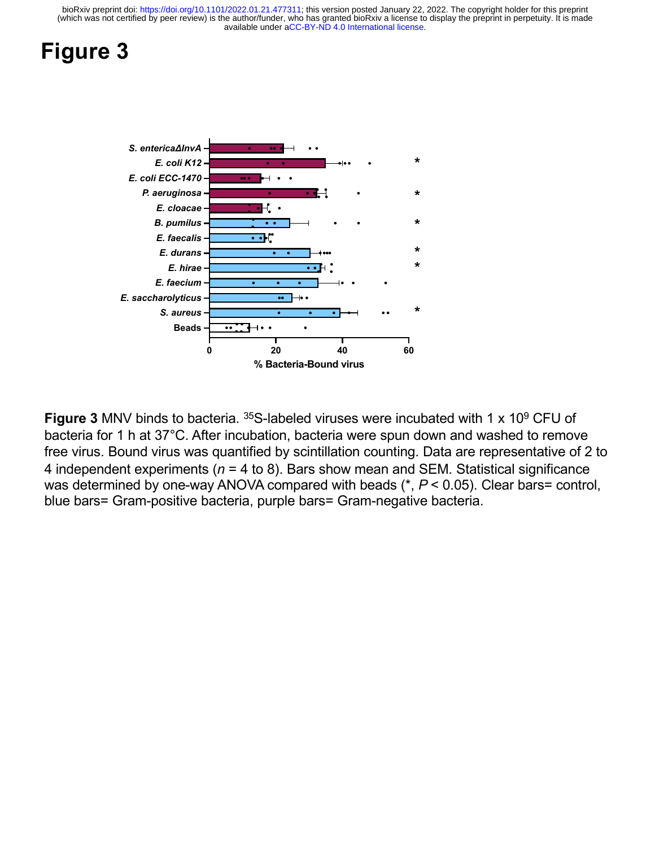# **Figure 3**



**Figure 3 MNV** binds to bacteria. <sup>35</sup>S-labeled viruses were incubated with 1 x 10<sup>9</sup> CFU of bacteria for 1 h at 37°C. After incubation, bacteria were spun down and washed to remove free virus. Bound virus was quantified by scintillation counting. Data are representative of 2 to 4 independent experiments (*n* = 4 to 8). Bars show mean and SEM. Statistical significance was determined by one-way ANOVA compared with beads (\*, *P* < 0.05). Clear bars= control, blue bars= Gram-positive bacteria, purple bars= Gram-negative bacteria.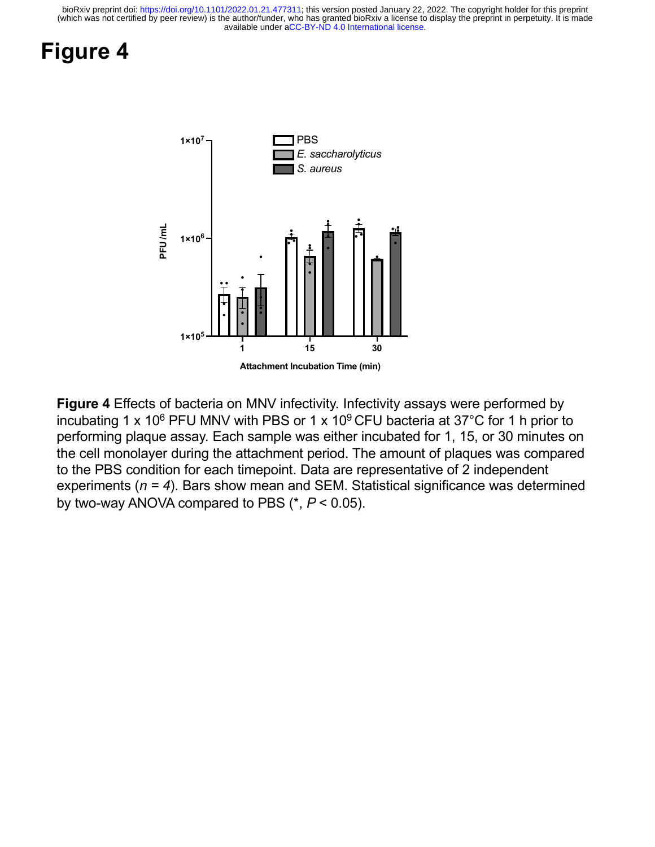# **Figure 4**



**Figure 4** Effects of bacteria on MNV infectivity. Infectivity assays were performed by incubating 1 x 10<sup>6</sup> PFU MNV with PBS or 1 x 10<sup>9</sup> CFU bacteria at 37<sup>°</sup>C for 1 h prior to performing plaque assay. Each sample was either incubated for 1, 15, or 30 minutes on the cell monolayer during the attachment period. The amount of plaques was compared to the PBS condition for each timepoint. Data are representative of 2 independent experiments (*n = 4*). Bars show mean and SEM. Statistical significance was determined by two-way ANOVA compared to PBS (\*, *P* < 0.05).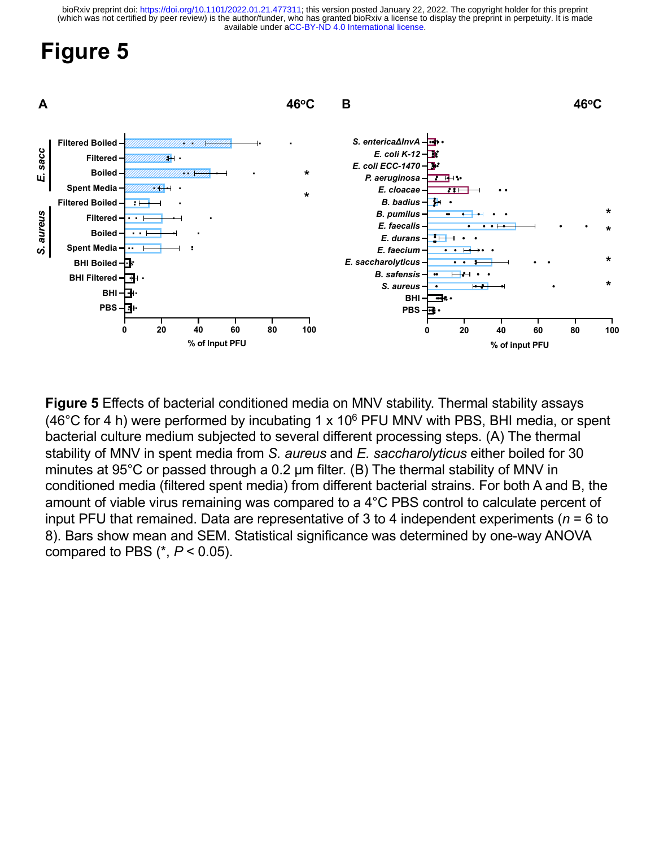# **Figure 5**



**Figure 5** Effects of bacterial conditioned media on MNV stability. Thermal stability assays (46°C for 4 h) were performed by incubating 1 x 10<sup>6</sup> PFU MNV with PBS, BHI media, or spent bacterial culture medium subjected to several different processing steps. (A) The thermal stability of MNV in spent media from *S. aureus* and *E. saccharolyticus* either boiled for 30 minutes at 95°C or passed through a 0.2 μm filter. (B) The thermal stability of MNV in conditioned media (filtered spent media) from different bacterial strains. For both A and B, the amount of viable virus remaining was compared to a 4°C PBS control to calculate percent of input PFU that remained. Data are representative of 3 to 4 independent experiments (*n* = 6 to 8). Bars show mean and SEM. Statistical significance was determined by one-way ANOVA compared to PBS (\*, *P* < 0.05).